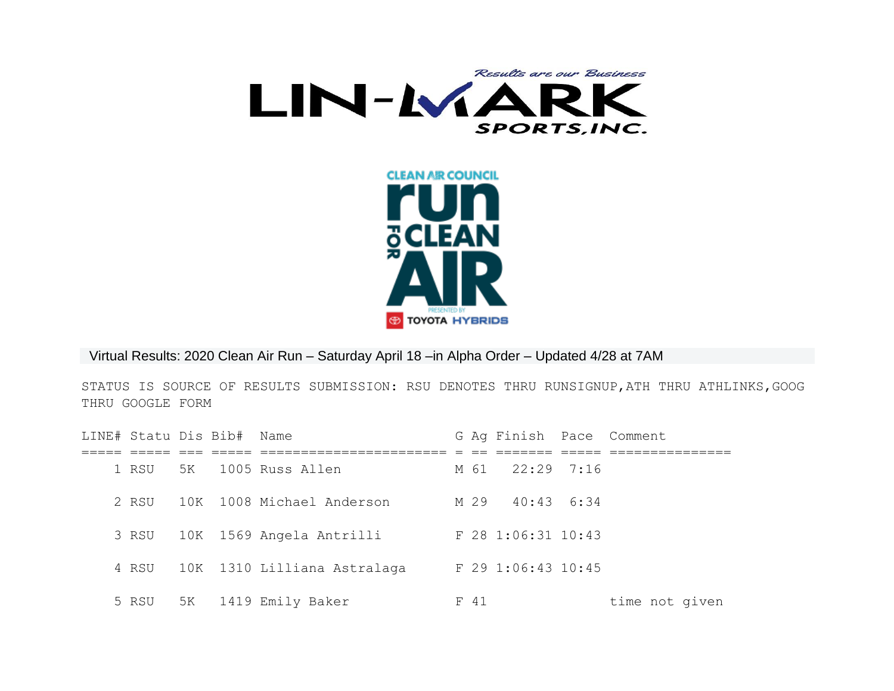



Virtual Results: 2020 Clean Air Run – Saturday April 18 –in Alpha Order – Updated 4/28 at 7AM

STATUS IS SOURCE OF RESULTS SUBMISSION: RSU DENOTES THRU RUNSIGNUP,ATH THRU ATHLINKS,GOOG THRU GOOGLE FORM

| LINE# Statu Dis Bib# Name |  |                                |      | G Ag Finish Pace Comment |                |
|---------------------------|--|--------------------------------|------|--------------------------|----------------|
|                           |  |                                |      |                          |                |
|                           |  | 1 RSU 5K 1005 Russ Allen       |      | M 61 22:29 7:16          |                |
| 2. RSU                    |  | 10K 1008 Michael Anderson      |      | M 29 40:43 6:34          |                |
|                           |  | 3 RSU 10K 1569 Angela Antrilli |      | F 28 1:06:31 10:43       |                |
| 4 RSU                     |  | 10K 1310 Lilliana Astralaga    |      | $F$ 29 1:06:43 10:45     |                |
| 5 RSU                     |  | 5K 1419 Emily Baker            | F 41 |                          | time not given |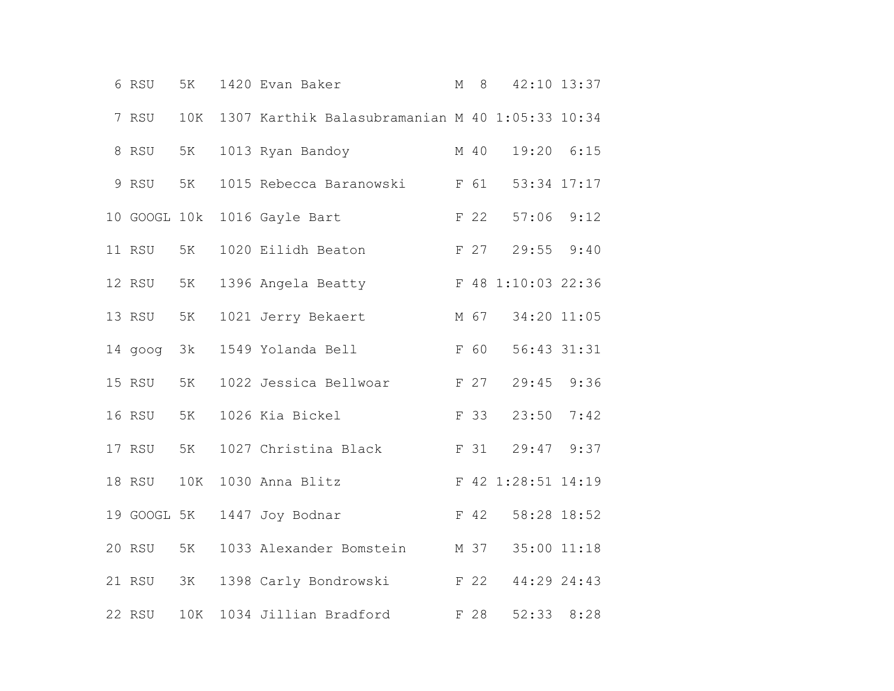|  | 6 RSU        | 5K  | 1420 Evan Baker                                 | $\mathbb M$ | 8    |                    | 42:10 13:37 |  |
|--|--------------|-----|-------------------------------------------------|-------------|------|--------------------|-------------|--|
|  | 7 RSU        | 10K | 1307 Karthik Balasubramanian M 40 1:05:33 10:34 |             |      |                    |             |  |
|  | 8 RSU        | 5K  | 1013 Ryan Bandoy                                |             | M 40 | 19:20 6:15         |             |  |
|  | 9 RSU        | 5K  | 1015 Rebecca Baranowski F 61                    |             |      | 53:34 17:17        |             |  |
|  | 10 GOOGL 10k |     | 1016 Gayle Bart                                 |             | F 22 | $57:06$ $9:12$     |             |  |
|  | 11 RSU       | 5K  | 1020 Eilidh Beaton                              |             | F 27 | $29:55$ $9:40$     |             |  |
|  | 12 RSU       | 5K  | 1396 Angela Beatty                              |             |      | F 48 1:10:03 22:36 |             |  |
|  | 13 RSU       | 5K  | 1021 Jerry Bekaert                              |             | M 67 | 34:20 11:05        |             |  |
|  | 14 goog 3k   |     | 1549 Yolanda Bell                               |             | F 60 | 56:43 31:31        |             |  |
|  | 15 RSU       | 5K  | 1022 Jessica Bellwoar                           |             | F 27 | 29:45 9:36         |             |  |
|  | 16 RSU       | 5K  | 1026 Kia Bickel                                 |             | F 33 | 23:50              | 7:42        |  |
|  | 17 RSU       | 5K  | 1027 Christina Black                            |             | F 31 | $29:47$ $9:37$     |             |  |
|  | 18 RSU       | 10K | 1030 Anna Blitz                                 |             |      | F 42 1:28:51 14:19 |             |  |
|  | 19 GOOGL 5K  |     | 1447 Joy Bodnar                                 |             | F 42 | 58:28 18:52        |             |  |
|  | 20 RSU       | 5K  | 1033 Alexander Bomstein                         |             | M 37 | 35:00 11:18        |             |  |
|  | 21 RSU       | 3K  | 1398 Carly Bondrowski<br>F 22                   |             |      | 44:29 24:43        |             |  |
|  | 22 RSU       | 10K | 1034 Jillian Bradford                           |             | F 28 |                    | 52:33 8:28  |  |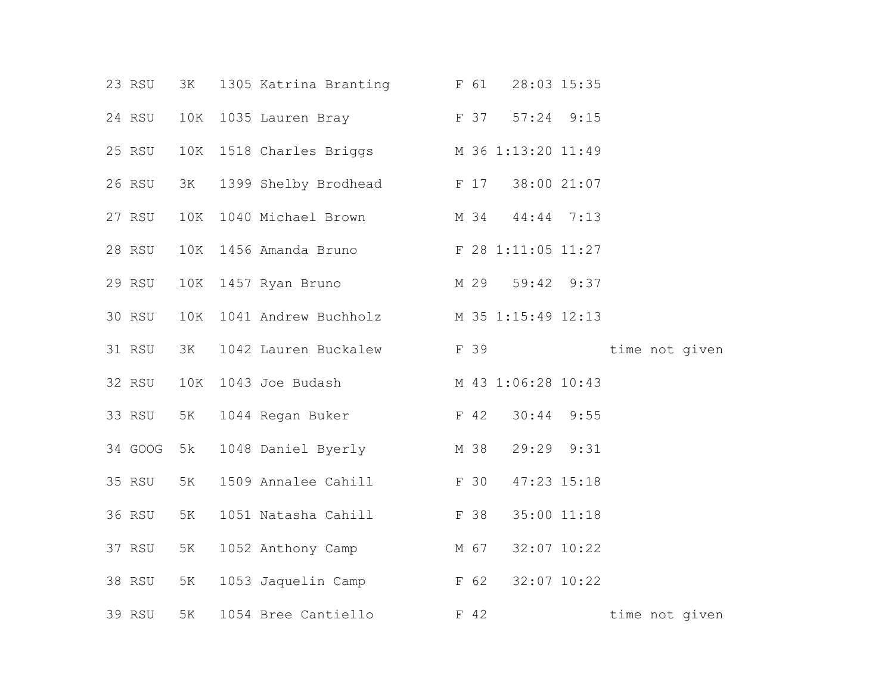|  | 23 RSU  | 3K  | 1305 Katrina Branting F 61                 |      | 28:03 15:35     |                |
|--|---------|-----|--------------------------------------------|------|-----------------|----------------|
|  | 24 RSU  | 10K | 1035 Lauren Bray F 37 57:24 9:15           |      |                 |                |
|  | 25 RSU  |     | 10K 1518 Charles Briggs M 36 1:13:20 11:49 |      |                 |                |
|  | 26 RSU  | 3K  | 1399 Shelby Brodhead F 17 38:00 21:07      |      |                 |                |
|  | 27 RSU  | 10K | 1040 Michael Brown M 34 44:44 7:13         |      |                 |                |
|  | 28 RSU  |     | 10K 1456 Amanda Bruno F 28 1:11:05 11:27   |      |                 |                |
|  | 29 RSU  | 10K | 1457 Ryan Bruno M 29 59:42 9:37            |      |                 |                |
|  | 30 RSU  | 10K | 1041 Andrew Buchholz M 35 1:15:49 12:13    |      |                 |                |
|  | 31 RSU  | 3K  | 1042 Lauren Buckalew F 39                  |      |                 | time not given |
|  | 32 RSU  | 10K | 1043 Joe Budash M 43 1:06:28 10:43         |      |                 |                |
|  | 33 RSU  | 5K  | 1044 Regan Buker F 42 30:44 9:55           |      |                 |                |
|  | 34 GOOG | 5 k | 1048 Daniel Byerly                         |      | M 38 29:29 9:31 |                |
|  | 35 RSU  | 5K  | 1509 Annalee Cahill F 30                   |      | 47:23 15:18     |                |
|  | 36 RSU  | 5K  | 1051 Natasha Cahill F 38                   |      | 35:00 11:18     |                |
|  | 37 RSU  | 5K  | 1052 Anthony Camp                          | M 67 | 32:07 10:22     |                |
|  | 38 RSU  | 5K  | 1053 Jaquelin Camp F 62                    |      | 32:07 10:22     |                |
|  | 39 RSU  | 5K  | 1054 Bree Cantiello                        | F 42 |                 | time not given |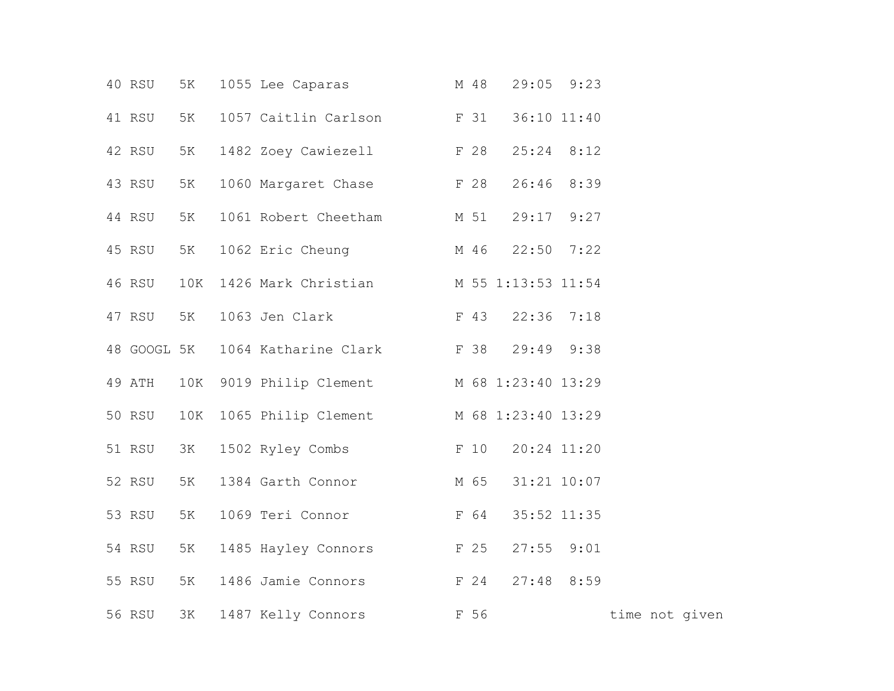|  | 40 RSU      | 5K  | 1055 Lee Caparas M 48                      |  | $29:05$ $9:23$ |                |  |  |
|--|-------------|-----|--------------------------------------------|--|----------------|----------------|--|--|
|  | 41 RSU      | 5K  | 1057 Caitlin Carlson F 31                  |  | 36:10 11:40    |                |  |  |
|  | 42 RSU      | 5K  | 1482 Zoey Cawiezell F 28                   |  | $25:24$ 8:12   |                |  |  |
|  | 43 RSU      | 5K  | 1060 Margaret Chase F 28                   |  | 26:46 8:39     |                |  |  |
|  | 44 RSU      | 5K  | 1061 Robert Cheetham M 51 29:17 9:27       |  |                |                |  |  |
|  | 45 RSU      | 5K  | 1062 Eric Cheung M 46                      |  | $22:50$ 7:22   |                |  |  |
|  | 46 RSU      | 10K | 1426 Mark Christian M 55 1:13:53 11:54     |  |                |                |  |  |
|  | 47 RSU 5K   |     | 1063 Jen Clark F 43 22:36 7:18             |  |                |                |  |  |
|  | 48 GOOGL 5K |     | 1064 Katharine Clark F 38                  |  | 29:49 9:38     |                |  |  |
|  | 49 ATH      |     | 10K 9019 Philip Clement M 68 1:23:40 13:29 |  |                |                |  |  |
|  | 50 RSU      | 10K | 1065 Philip Clement M 68 1:23:40 13:29     |  |                |                |  |  |
|  | 51 RSU      | 3K  | 1502 Ryley Combs F 10                      |  | 20:24 11:20    |                |  |  |
|  | 52 RSU      | 5K  | M 65<br>1384 Garth Connor                  |  | 31:21 10:07    |                |  |  |
|  | 53 RSU      | 5K  | 1069 Teri Connor F 64                      |  | 35:52 11:35    |                |  |  |
|  | 54 RSU      | 5K  | 1485 Hayley Connors F 25                   |  | $27:55$ $9:01$ |                |  |  |
|  | 55 RSU      | 5K  | 1486 Jamie Connors F 24                    |  | $27:48$ 8:59   |                |  |  |
|  | 56 RSU      | 3K  | 1487 Kelly Connors F 56                    |  |                | time not given |  |  |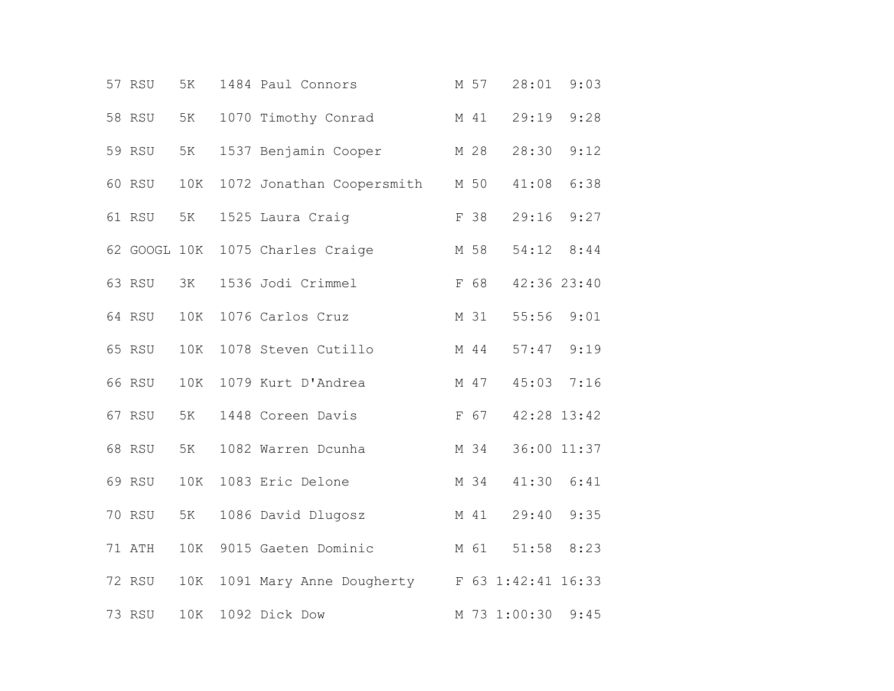|  | 57 RSU       | 5K  | 1484 Paul Connors                           | M 57 | 28:01          | 9:03 |  |
|--|--------------|-----|---------------------------------------------|------|----------------|------|--|
|  | 58 RSU       | 5K  | 1070 Timothy Conrad                         | M 41 | 29:19          | 9:28 |  |
|  | 59 RSU       | 5K  | 1537 Benjamin Cooper                        | M 28 | 28:30          | 9:12 |  |
|  | 60 RSU       | 10K | 1072 Jonathan Coopersmith                   | M 50 | 41:08          | 6:38 |  |
|  | 61 RSU       | 5K  | 1525 Laura Craig                            | F 38 | 29:16          | 9:27 |  |
|  | 62 GOOGL 10K |     | 1075 Charles Craige                         | M 58 | 54:12 8:44     |      |  |
|  | 63 RSU       | 3K  | 1536 Jodi Crimmel                           | F 68 | 42:36 23:40    |      |  |
|  | 64 RSU       | 10K | 1076 Carlos Cruz                            | M 31 | 55:56          | 9:01 |  |
|  | 65 RSU       | 10K | 1078 Steven Cutillo                         | M 44 | $57:47$ $9:19$ |      |  |
|  | 66 RSU       | 10K | 1079 Kurt D'Andrea                          | M 47 | 45:03          | 7:16 |  |
|  | 67 RSU       | 5K  | 1448 Coreen Davis                           | F 67 | 42:28 13:42    |      |  |
|  | 68 RSU       | 5K  | 1082 Warren Dcunha                          | M 34 | 36:00 11:37    |      |  |
|  | 69 RSU       | 10K | 1083 Eric Delone                            | M 34 | 41:30 6:41     |      |  |
|  | 70 RSU       | 5K  | 1086 David Dlugosz                          | M 41 | 29:40          | 9:35 |  |
|  | 71 ATH       | 10K | 9015 Gaeten Dominic                         | M 61 | 51:58          | 8:23 |  |
|  | 72 RSU       | 10K | 1091 Mary Anne Dougherty F 63 1:42:41 16:33 |      |                |      |  |
|  | 73 RSU       | 10K | 1092 Dick Dow                               |      | M 73 1:00:30   | 9:45 |  |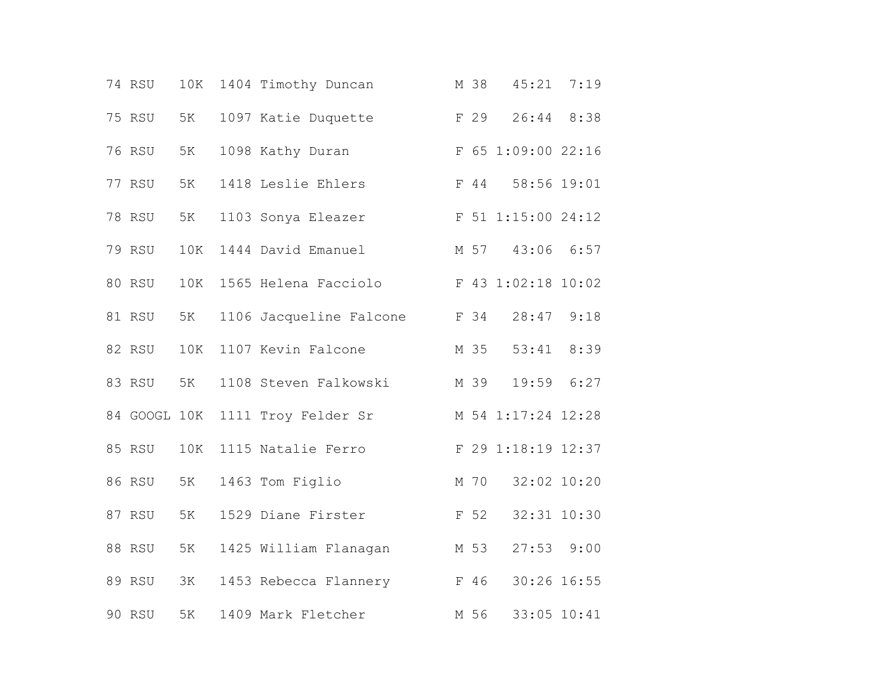|  | 74 RSU       | 10K | 1404 Timothy Duncan     | M 38 | 45:21              | 7:19 |  |
|--|--------------|-----|-------------------------|------|--------------------|------|--|
|  | 75 RSU       | 5K  | 1097 Katie Duquette     | F 29 | 26:44 8:38         |      |  |
|  | 76 RSU       | 5K  | 1098 Kathy Duran        |      | F 65 1:09:00 22:16 |      |  |
|  | 77 RSU       | 5K  | 1418 Leslie Ehlers      | F 44 | 58:56 19:01        |      |  |
|  | 78 RSU       | 5K  | 1103 Sonya Eleazer      |      | F 51 1:15:00 24:12 |      |  |
|  | 79 RSU       | 10K | 1444 David Emanuel      | M 57 | 43:06 6:57         |      |  |
|  | 80 RSU       | 10K | 1565 Helena Facciolo    |      | F 43 1:02:18 10:02 |      |  |
|  | 81 RSU       | 5K  | 1106 Jacqueline Falcone | F 34 | 28:47 9:18         |      |  |
|  | 82 RSU       | 10K | 1107 Kevin Falcone      | M 35 | 53:41 8:39         |      |  |
|  | 83 RSU       | 5K  | 1108 Steven Falkowski   | M 39 | 19:59 6:27         |      |  |
|  | 84 GOOGL 10K |     | 1111 Troy Felder Sr     |      | M 54 1:17:24 12:28 |      |  |
|  | 85 RSU       | 10K | 1115 Natalie Ferro      |      | F 29 1:18:19 12:37 |      |  |
|  | 86 RSU       | 5K  | 1463 Tom Figlio         | M 70 | 32:02 10:20        |      |  |
|  | 87 RSU       | 5K  | 1529 Diane Firster      | F 52 | 32:31 10:30        |      |  |
|  | 88 RSU       | 5K  | 1425 William Flanagan   | M 53 | 27:53              | 9:00 |  |
|  | 89 RSU       | ЗК  | 1453 Rebecca Flannery   | F 46 | 30:26 16:55        |      |  |
|  | 90 RSU       | 5K  | 1409 Mark Fletcher      | M 56 | 33:05 10:41        |      |  |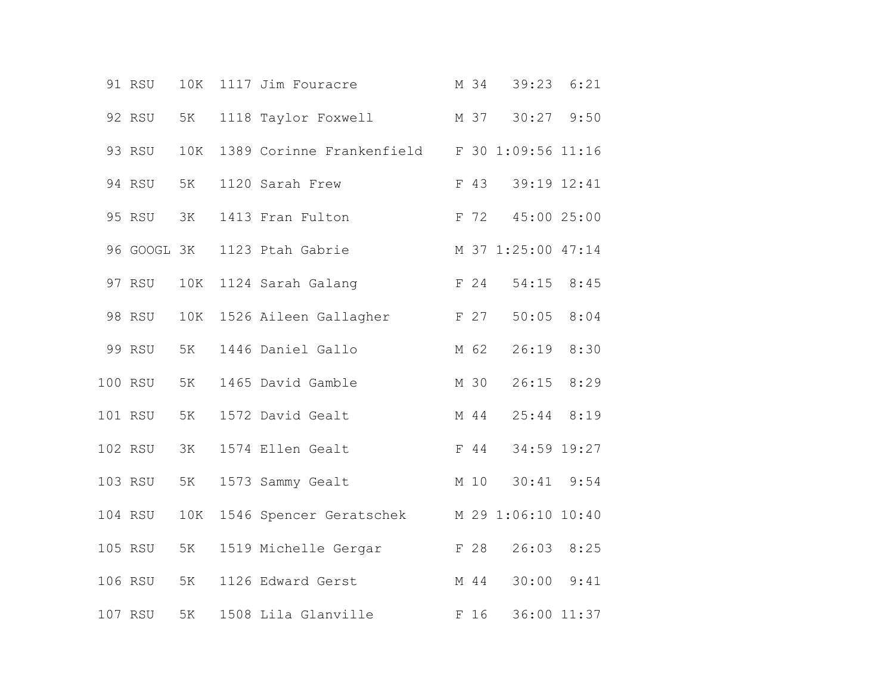|  | 91 RSU      | 10K | 1117 Jim Fouracre                            | M 34 | 39:23 6:21         |      |  |
|--|-------------|-----|----------------------------------------------|------|--------------------|------|--|
|  | 92 RSU      | 5K  | 1118 Taylor Foxwell                          |      | M 37 30:27 9:50    |      |  |
|  | 93 RSU      | 10K | 1389 Corinne Frankenfield F 30 1:09:56 11:16 |      |                    |      |  |
|  | 94 RSU      | 5K  | 1120 Sarah Frew                              | F 43 | 39:19 12:41        |      |  |
|  | 95 RSU      | 3K  | 1413 Fran Fulton                             |      | F 72 45:00 25:00   |      |  |
|  | 96 GOOGL 3K |     | 1123 Ptah Gabrie                             |      | M 37 1:25:00 47:14 |      |  |
|  | 97 RSU      | 10K | 1124 Sarah Galang                            | F 24 | 54:15 8:45         |      |  |
|  | 98 RSU      | 10K | 1526 Aileen Gallagher<br>F 27                |      | 50:05              | 8:04 |  |
|  | 99 RSU      | 5K  | 1446 Daniel Gallo                            | M 62 | 26:19 8:30         |      |  |
|  | 100 RSU     | 5K  | 1465 David Gamble                            | M 30 | $26:15$ 8:29       |      |  |
|  | 101 RSU     | 5K  | 1572 David Gealt                             | M 44 | $25:44$ 8:19       |      |  |
|  | 102 RSU     | ЗК  | 1574 Ellen Gealt                             | F 44 | 34:59 19:27        |      |  |
|  | 103 RSU     | 5K  | 1573 Sammy Gealt                             | M 10 | $30:41$ $9:54$     |      |  |
|  | 104 RSU     | 10K | 1546 Spencer Geratschek                      |      | M 29 1:06:10 10:40 |      |  |
|  | 105 RSU     | 5K  | 1519 Michelle Gergar                         | F 28 | 26:03 8:25         |      |  |
|  | 106 RSU     | 5K  | 1126 Edward Gerst                            | M 44 | $30:00$ $9:41$     |      |  |
|  | 107 RSU     | 5K  | 1508 Lila Glanville                          | F 16 | 36:00 11:37        |      |  |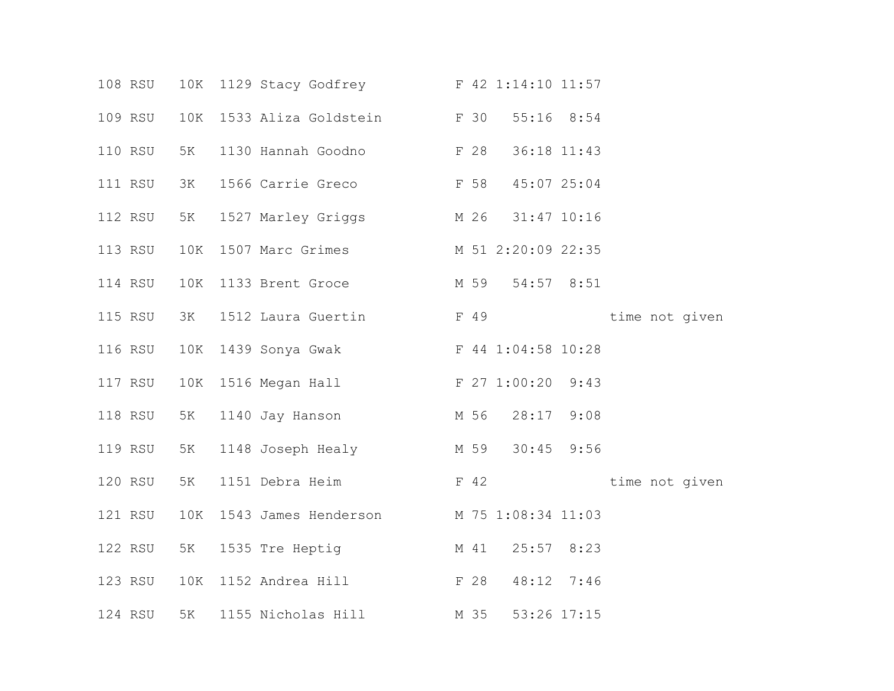|  | 108 RSU |                | 10K 1129 Stacy Godfrey F 42 1:14:10 11:57   |      |                 |                |  |
|--|---------|----------------|---------------------------------------------|------|-----------------|----------------|--|
|  | 109 RSU | 10K            | 1533 Aliza Goldstein F 30                   |      | $55:16$ 8:54    |                |  |
|  | 110 RSU | 5K             | 1130 Hannah Goodno F 28                     |      | 36:18 11:43     |                |  |
|  | 111 RSU | 3K             | 1566 Carrie Greco F 58 45:07 25:04          |      |                 |                |  |
|  | 112 RSU | 5K             | 1527 Marley Griggs M 26 31:47 10:16         |      |                 |                |  |
|  | 113 RSU | 10K            | 1507 Marc Grimes M 51 2:20:09 22:35         |      |                 |                |  |
|  | 114 RSU | 10K            | 1133 Brent Groce                            |      | M 59 54:57 8:51 |                |  |
|  | 115 RSU | 3K             | 1512 Laura Guertin F 49                     |      |                 | time not given |  |
|  | 116 RSU | $10\mathrm{K}$ | F 44 1:04:58 10:28<br>1439 Sonya Gwak       |      |                 |                |  |
|  | 117 RSU |                | 10K 1516 Megan Hall F 27 1:00:20 9:43       |      |                 |                |  |
|  | 118 RSU | 5K             | 1140 Jay Hanson M 56 28:17 9:08             |      |                 |                |  |
|  | 119 RSU | 5K             | 1148 Joseph Healy M 59 30:45 9:56           |      |                 |                |  |
|  | 120 RSU | 5K             | 1151 Debra Heim                             |      | $F$ 42          | time not given |  |
|  | 121 RSU |                | 10K 1543 James Henderson M 75 1:08:34 11:03 |      |                 |                |  |
|  | 122 RSU | 5K             | 1535 Tre Heptig M 41 25:57 8:23             |      |                 |                |  |
|  | 123 RSU |                | 10K 1152 Andrea Hill F 28                   |      | 48:12 7:46      |                |  |
|  | 124 RSU | 5K             | 1155 Nicholas Hill                          | M 35 | 53:26 17:15     |                |  |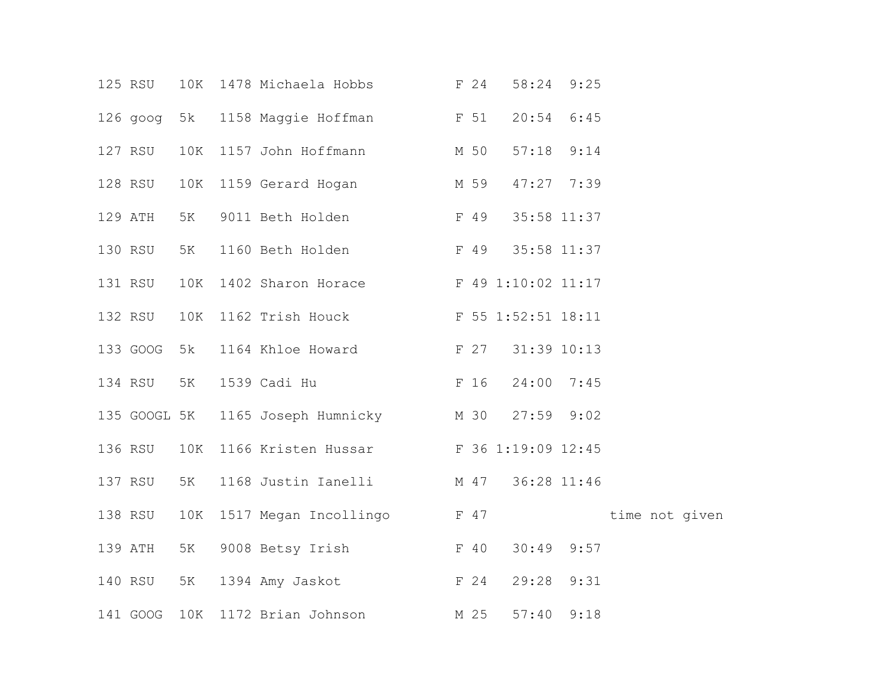|  | 125 RSU      | 10K | 1478 Michaela Hobbs                    | F 24 | 58:24 9:25     |      |                |  |
|--|--------------|-----|----------------------------------------|------|----------------|------|----------------|--|
|  | 126 goog 5k  |     | 1158 Maggie Hoffman F 51               |      | $20:54$ 6:45   |      |                |  |
|  | 127 RSU      | 10K | 1157 John Hoffmann M 50                |      | $57:18$ $9:14$ |      |                |  |
|  | 128 RSU      | 10K | 1159 Gerard Hogan M 59                 |      | 47:27 7:39     |      |                |  |
|  | 129 ATH      | 5K  | F 49<br>9011 Beth Holden               |      | 35:58 11:37    |      |                |  |
|  | 130 RSU      | 5K  | 1160 Beth Holden                       | F 49 | 35:58 11:37    |      |                |  |
|  | 131 RSU      | 10K | 1402 Sharon Horace F 49 1:10:02 11:17  |      |                |      |                |  |
|  | 132 RSU      | 10K | 1162 Trish Houck F 55 1:52:51 18:11    |      |                |      |                |  |
|  | 133 GOOG 5k  |     | <b>E</b> 27<br>1164 Khloe Howard       |      | 31:39 10:13    |      |                |  |
|  | 134 RSU      | 5K  | 1539 Cadi Hu<br>F 16                   |      | 24:00 7:45     |      |                |  |
|  | 135 GOOGL 5K |     | 1165 Joseph Humnicky M 30              |      | $27:59$ $9:02$ |      |                |  |
|  | 136 RSU      | 10K | 1166 Kristen Hussar F 36 1:19:09 12:45 |      |                |      |                |  |
|  | 137 RSU      | 5K  | 1168 Justin Ianelli M 47               |      | 36:28 11:46    |      |                |  |
|  | 138 RSU      | 10K | 1517 Megan Incollingo F 47             |      |                |      | time not given |  |
|  | 139 ATH      | 5K  | 9008 Betsy Irish F 40                  |      | 30:49          | 9:57 |                |  |
|  | 140 RSU      | 5K  | F <sub>24</sub><br>1394 Amy Jaskot     |      | 29:28 9:31     |      |                |  |
|  | 141 GOOG     | 10K | 1172 Brian Johnson                     | M 25 | 57:40          | 9:18 |                |  |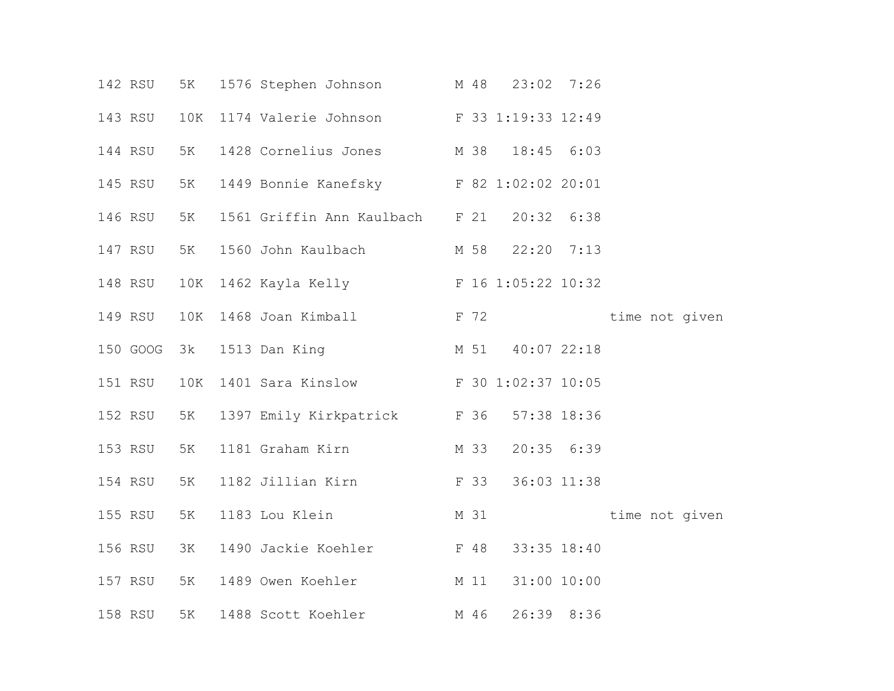|  | 142 RSU  | 5K  | 1576 Stephen Johnson                    | M 48 | 23:02 7:26     |                |  |
|--|----------|-----|-----------------------------------------|------|----------------|----------------|--|
|  | 143 RSU  | 10K | 1174 Valerie Johnson F 33 1:19:33 12:49 |      |                |                |  |
|  | 144 RSU  | 5K  | 1428 Cornelius Jones M 38               |      | $18:45$ $6:03$ |                |  |
|  | 145 RSU  | 5K  | 1449 Bonnie Kanefsky F 82 1:02:02 20:01 |      |                |                |  |
|  | 146 RSU  | 5K  | 1561 Griffin Ann Kaulbach F 21          |      | $20:32$ 6:38   |                |  |
|  | 147 RSU  | 5K  | 1560 John Kaulbach                      | M 58 | $22:20$ 7:13   |                |  |
|  | 148 RSU  | 10K | 1462 Kayla Kelly F 16 1:05:22 10:32     |      |                |                |  |
|  | 149 RSU  | 10K | 1468 Joan Kimball                       |      | F 72           | time not given |  |
|  | 150 GOOG | 3k  | 1513 Dan King                           | M 51 | $40:07$ 22:18  |                |  |
|  | 151 RSU  | 10K | 1401 Sara Kinslow F 30 1:02:37 10:05    |      |                |                |  |
|  | 152 RSU  | 5K  | 1397 Emily Kirkpatrick F 36             |      | 57:38 18:36    |                |  |
|  | 153 RSU  | 5K  | M 33<br>1181 Graham Kirn                |      | $20:35$ $6:39$ |                |  |
|  | 154 RSU  | 5K  | <b>F</b> 33<br>1182 Jillian Kirn        |      | 36:03 11:38    |                |  |
|  | 155 RSU  | 5K  | 1183 Lou Klein                          | M 31 |                | time not given |  |
|  | 156 RSU  | 3K  | 1490 Jackie Koehler F 48                |      | 33:35 18:40    |                |  |
|  | 157 RSU  | 5K  | 1489 Owen Koehler                       | M 11 | 31:00 10:00    |                |  |
|  | 158 RSU  | 5K  | 1488 Scott Koehler                      | M 46 | 26:39 8:36     |                |  |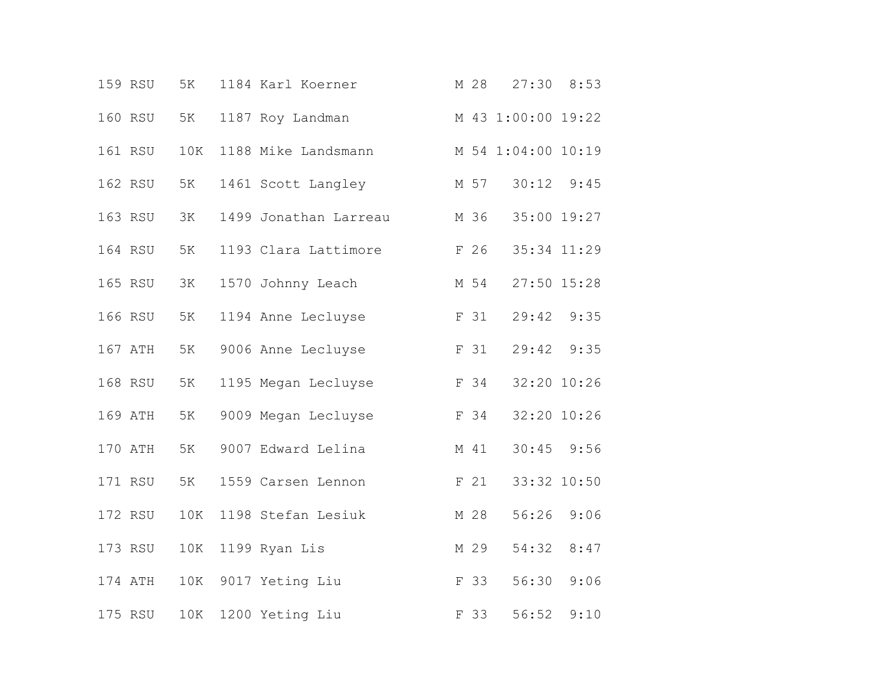|  | 159 RSU | 5K  | 1184 Karl Koerner     | M 28 | $27:30$ 8:53       |      |  |
|--|---------|-----|-----------------------|------|--------------------|------|--|
|  | 160 RSU | 5K  | 1187 Roy Landman      |      | M 43 1:00:00 19:22 |      |  |
|  | 161 RSU | 10K | 1188 Mike Landsmann   |      | M 54 1:04:00 10:19 |      |  |
|  | 162 RSU | 5K  | 1461 Scott Langley    | M 57 | 30:12              | 9:45 |  |
|  | 163 RSU | 3K  | 1499 Jonathan Larreau |      | M 36 35:00 19:27   |      |  |
|  | 164 RSU | 5K  | 1193 Clara Lattimore  | F 26 | 35:34 11:29        |      |  |
|  | 165 RSU | 3K  | 1570 Johnny Leach     | M 54 | 27:50 15:28        |      |  |
|  | 166 RSU | 5K  | 1194 Anne Lecluyse    | F 31 | 29:42 9:35         |      |  |
|  | 167 ATH | 5K  | 9006 Anne Lecluyse    | F 31 | 29:42 9:35         |      |  |
|  | 168 RSU | 5K  | 1195 Megan Lecluyse   | F 34 | 32:20 10:26        |      |  |
|  | 169 ATH | 5K  | 9009 Megan Lecluyse   | F 34 | 32:20 10:26        |      |  |
|  | 170 ATH | 5K  | 9007 Edward Lelina    | M 41 | $30:45$ 9:56       |      |  |
|  | 171 RSU | 5K  | 1559 Carsen Lennon    | F 21 | 33:32 10:50        |      |  |
|  | 172 RSU | 10K | 1198 Stefan Lesiuk    | M 28 | 56:26              | 9:06 |  |
|  | 173 RSU | 10K | 1199 Ryan Lis         | M 29 | 54:32              | 8:47 |  |
|  | 174 ATH | 10K | 9017 Yeting Liu       | F 33 | 56:30              | 9:06 |  |
|  | 175 RSU | 10K | 1200 Yeting Liu       | F 33 | 56:52              | 9:10 |  |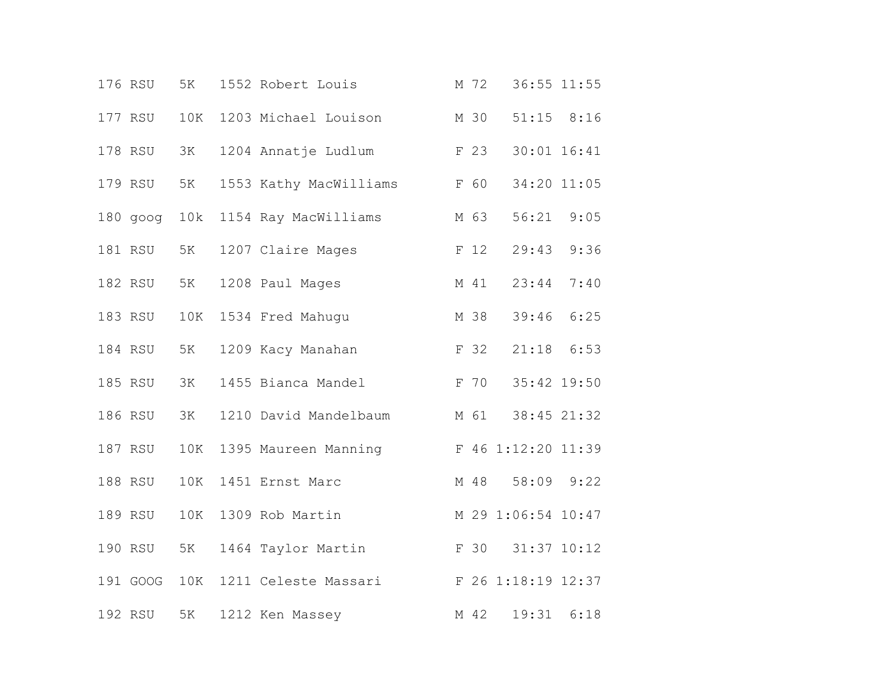|  | 176 RSU  | 5K  | 1552 Robert Louis      | M 72 | 36:55 11:55        |                 |  |
|--|----------|-----|------------------------|------|--------------------|-----------------|--|
|  | 177 RSU  | 10K | 1203 Michael Louison   | M 30 |                    | $51:15$ $8:16$  |  |
|  | 178 RSU  | ЗК  | 1204 Annatje Ludlum    | F 23 |                    | $30:01$ $16:41$ |  |
|  | 179 RSU  | 5K  | 1553 Kathy MacWilliams | F 60 | 34:20 11:05        |                 |  |
|  | 180 goog | 10k | 1154 Ray MacWilliams   | M 63 | 56:21 9:05         |                 |  |
|  | 181 RSU  | 5K  | 1207 Claire Mages      | F 12 | 29:43 9:36         |                 |  |
|  | 182 RSU  | 5K  | 1208 Paul Mages        | M 41 | 23:44              | 7:40            |  |
|  | 183 RSU  | 10K | 1534 Fred Mahuqu       | M 38 | 39:46              | 6:25            |  |
|  | 184 RSU  | 5K  | 1209 Kacy Manahan      | F 32 | $21:18$ 6:53       |                 |  |
|  | 185 RSU  | 3K  | 1455 Bianca Mandel     | F 70 | 35:42 19:50        |                 |  |
|  | 186 RSU  | 3K  | 1210 David Mandelbaum  | M 61 | 38:45 21:32        |                 |  |
|  | 187 RSU  | 10K | 1395 Maureen Manning   |      | F 46 1:12:20 11:39 |                 |  |
|  | 188 RSU  | 10K | 1451 Ernst Marc        | M 48 | 58:09 9:22         |                 |  |
|  | 189 RSU  | 10K | 1309 Rob Martin        |      | M 29 1:06:54 10:47 |                 |  |
|  | 190 RSU  | 5K  | 1464 Taylor Martin     | F 30 | 31:37 10:12        |                 |  |
|  | 191 GOOG | 10K | 1211 Celeste Massari   |      | F 26 1:18:19 12:37 |                 |  |
|  | 192 RSU  | 5K  | 1212 Ken Massey        | M 42 | 19:31              | 6:18            |  |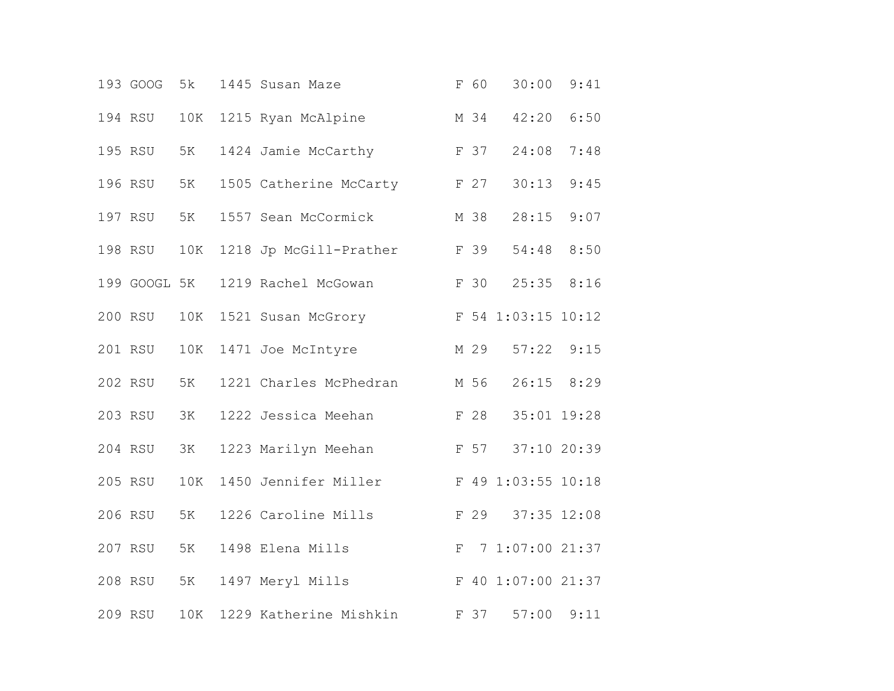|  | 193 GOOG     | 5k  | 1445 Susan Maze                |              | F 60 | 30:00              | 9:41 |
|--|--------------|-----|--------------------------------|--------------|------|--------------------|------|
|  | 194 RSU      | 10K | 1215 Ryan McAlpine             |              | M 34 | 42:20 6:50         |      |
|  | 195 RSU      | 5K  | 1424 Jamie McCarthy            |              | F 37 | 24:08              | 7:48 |
|  | 196 RSU      | 5K  | F 27<br>1505 Catherine McCarty |              |      | 30:13              | 9:45 |
|  | 197 RSU      | 5K  | 1557 Sean McCormick            |              | M 38 | 28:15 9:07         |      |
|  | 198 RSU      | 10K | 1218 Jp McGill-Prather         |              | F 39 | 54:48 8:50         |      |
|  | 199 GOOGL 5K |     | 1219 Rachel McGowan            |              | F 30 | 25:35              | 8:16 |
|  | 200 RSU      | 10K | 1521 Susan McGrory             |              |      | F 54 1:03:15 10:12 |      |
|  | 201 RSU      | 10K | 1471 Joe McIntyre              |              |      | M 29 57:22 9:15    |      |
|  | 202 RSU      | 5K  | 1221 Charles McPhedran         |              | M 56 | $26:15$ 8:29       |      |
|  | 203 RSU      | 3K  | 1222 Jessica Meehan            |              | F 28 | 35:01 19:28        |      |
|  | 204 RSU      | 3K  | 1223 Marilyn Meehan            |              | F 57 | 37:10 20:39        |      |
|  | 205 RSU      | 10K | 1450 Jennifer Miller           |              |      | F 49 1:03:55 10:18 |      |
|  | 206 RSU      | 5K  | 1226 Caroline Mills            |              | F 29 | 37:35 12:08        |      |
|  | 207 RSU      | 5K  | 1498 Elena Mills               | $\mathbf{F}$ |      | 7 1:07:00 21:37    |      |
|  | 208 RSU      | 5K  | 1497 Meryl Mills               |              |      | F 40 1:07:00 21:37 |      |
|  | 209 RSU      | 10K | 1229 Katherine Mishkin         |              | F 37 | 57:00              | 9:11 |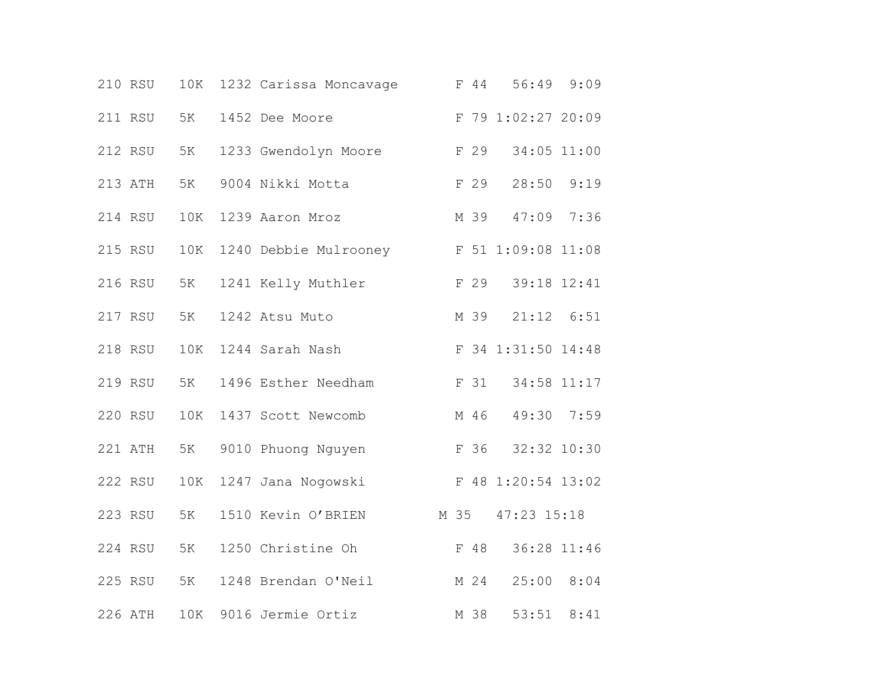|  | 210 RSU | 10K | 1232 Carissa Moncavage | F 44 |                    | 56:49 9:09     |
|--|---------|-----|------------------------|------|--------------------|----------------|
|  | 211 RSU | 5K  | 1452 Dee Moore         |      | F 79 1:02:27 20:09 |                |
|  | 212 RSU | 5K  | 1233 Gwendolyn Moore   | F 29 |                    | 34:05 11:00    |
|  | 213 ATH | 5K  | 9004 Nikki Motta       | F 29 |                    | 28:50 9:19     |
|  | 214 RSU | 10K | 1239 Aaron Mroz        |      | M 39               | 47:09 7:36     |
|  | 215 RSU | 10K | 1240 Debbie Mulrooney  |      | F 51 1:09:08 11:08 |                |
|  | 216 RSU | 5K  | 1241 Kelly Muthler     | F 29 |                    | 39:18 12:41    |
|  | 217 RSU | 5K  | 1242 Atsu Muto         | M 39 |                    | $21:12$ $6:51$ |
|  | 218 RSU | 10K | 1244 Sarah Nash        |      | F 34 1:31:50 14:48 |                |
|  | 219 RSU | 5K  | 1496 Esther Needham    | F 31 |                    | 34:58 11:17    |
|  | 220 RSU | 10K | 1437 Scott Newcomb     |      | M 46               | 49:30 7:59     |
|  | 221 ATH | 5K  | 9010 Phuong Nguyen     |      | F 36               | 32:32 10:30    |
|  | 222 RSU | 10K | 1247 Jana Nogowski     |      | F 48 1:20:54 13:02 |                |
|  | 223 RSU | 5K  | 1510 Kevin O'BRIEN     | M 35 | $47:23$ $15:18$    |                |
|  | 224 RSU | 5K  | 1250 Christine Oh      | F 48 |                    | 36:28 11:46    |
|  | 225 RSU | 5K  | 1248 Brendan O'Neil    |      | M 24               | 25:00 8:04     |
|  | 226 ATH | 10K | 9016 Jermie Ortiz      | M 38 | 53:51              | 8:41           |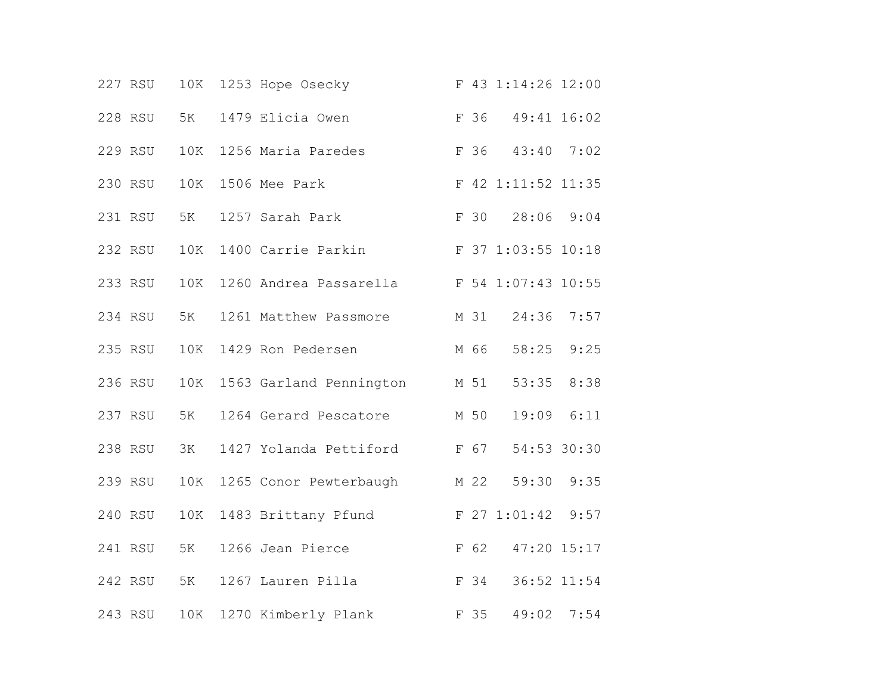|  | 227 RSU | 10K | 1253 Hope Osecky               |      | F 43 1:14:26 12:00 |      |  |
|--|---------|-----|--------------------------------|------|--------------------|------|--|
|  | 228 RSU | 5K  | 1479 Elicia Owen               | F 36 | 49:41 16:02        |      |  |
|  | 229 RSU | 10K | 1256 Maria Paredes             | F 36 | 43:40              | 7:02 |  |
|  | 230 RSU | 10K | 1506 Mee Park                  |      | F 42 1:11:52 11:35 |      |  |
|  | 231 RSU | 5K  | 1257 Sarah Park                |      | F 30 28:06 9:04    |      |  |
|  | 232 RSU | 10K | 1400 Carrie Parkin             |      | F 37 1:03:55 10:18 |      |  |
|  | 233 RSU | 10K | 1260 Andrea Passarella         |      | F 54 1:07:43 10:55 |      |  |
|  | 234 RSU | 5K  | 1261 Matthew Passmore          | M 31 | 24:36 7:57         |      |  |
|  | 235 RSU | 10K | 1429 Ron Pedersen              | M 66 | 58:25 9:25         |      |  |
|  | 236 RSU | 10K | 1563 Garland Pennington        | M 51 | 53:35              | 8:38 |  |
|  | 237 RSU | 5K  | 1264 Gerard Pescatore          | M 50 | 19:09              | 6:11 |  |
|  | 238 RSU | 3K  | F 67<br>1427 Yolanda Pettiford |      | 54:53 30:30        |      |  |
|  | 239 RSU | 10K | 1265 Conor Pewterbaugh         | M 22 | 59:30 9:35         |      |  |
|  | 240 RSU | 10K | 1483 Brittany Pfund            |      | F 27 1:01:42 9:57  |      |  |
|  | 241 RSU | 5K  | 1266 Jean Pierce               | F 62 | 47:20 15:17        |      |  |
|  | 242 RSU | 5K  | 1267 Lauren Pilla              | F 34 | 36:52 11:54        |      |  |
|  | 243 RSU | 10K | 1270 Kimberly Plank            | F 35 | 49:02              | 7:54 |  |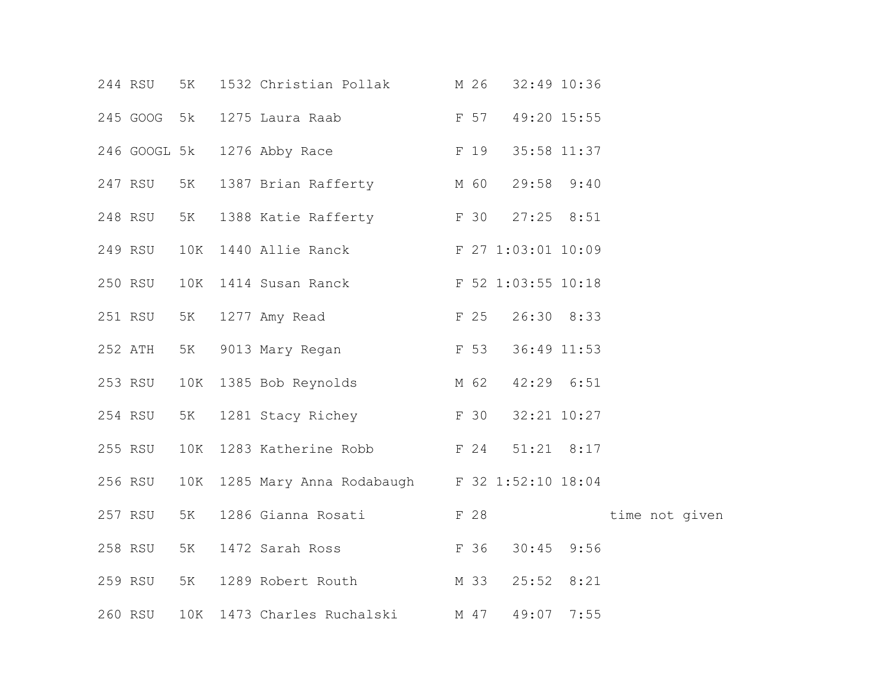|  | 244 RSU      | 5K  | 1532 Christian Pollak                       | M 26 | 32:49 10:36    |             |                |
|--|--------------|-----|---------------------------------------------|------|----------------|-------------|----------------|
|  | 245 GOOG 5k  |     | <b>E</b> 57<br>1275 Laura Raab              |      |                | 49:20 15:55 |                |
|  | 246 GOOGL 5k |     | F 19<br>1276 Abby Race                      |      | 35:58 11:37    |             |                |
|  | 247 RSU      | 5K  | 1387 Brian Rafferty M 60                    |      | 29:58 9:40     |             |                |
|  | 248 RSU      | 5K  | 1388 Katie Rafferty F 30                    |      | $27:25$ 8:51   |             |                |
|  | 249 RSU      | 10K | 1440 Allie Ranck F 27 1:03:01 10:09         |      |                |             |                |
|  | 250 RSU      | 10K | 1414 Susan Ranck F 52 1:03:55 10:18         |      |                |             |                |
|  | 251 RSU      | 5K  | F 25<br>1277 Amy Read                       |      | 26:30 8:33     |             |                |
|  | 252 ATH      | 5K  | <b>E</b> 53<br>9013 Mary Regan              |      | 36:49 11:53    |             |                |
|  | 253 RSU      | 10K | 1385 Bob Reynolds                           | M 62 | $42:29$ $6:51$ |             |                |
|  | 254 RSU      | 5K  | 1281 Stacy Richey F 30                      |      | 32:21 10:27    |             |                |
|  | 255 RSU      |     | 10K 1283 Katherine Robb F 24                |      | $51:21$ $8:17$ |             |                |
|  | 256 RSU      | 10K | 1285 Mary Anna Rodabaugh F 32 1:52:10 18:04 |      |                |             |                |
|  | 257 RSU      | 5K  | 1286 Gianna Rosati Kanadar 128              |      |                |             | time not given |
|  | 258 RSU      | 5K  | 1472 Sarah Ross F 36                        |      | $30:45$ 9:56   |             |                |
|  | 259 RSU      | 5K  | 1289 Robert Routh M 33                      |      | $25:52$ 8:21   |             |                |
|  | 260 RSU      | 10K | 1473 Charles Ruchalski M 47                 |      | 49:07 7:55     |             |                |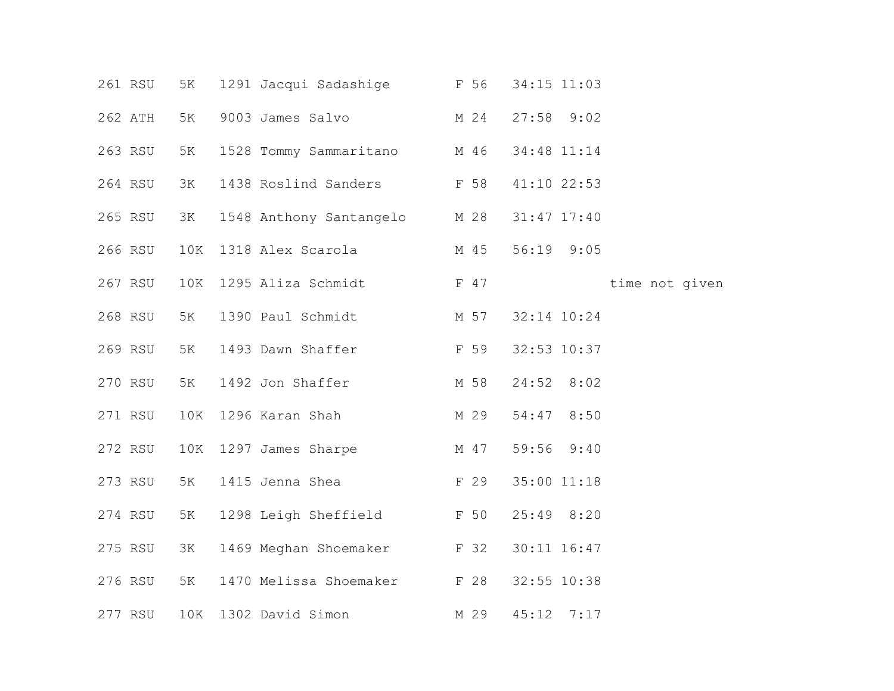|  | 261 RSU | 5K  | 1291 Jacqui Sadashige F 56       |      | 34:15 11:03    |              |                |  |
|--|---------|-----|----------------------------------|------|----------------|--------------|----------------|--|
|  | 262 ATH | 5K  | 9003 James Salvo M 24            |      | $27:58$ $9:02$ |              |                |  |
|  | 263 RSU | 5K  | 1528 Tommy Sammaritano M 46      |      | 34:48 11:14    |              |                |  |
|  | 264 RSU | 3K  | 1438 Roslind Sanders F 58        |      |                | 41:10 22:53  |                |  |
|  | 265 RSU | 3K  | 1548 Anthony Santangelo M 28     |      | 31:47 17:40    |              |                |  |
|  | 266 RSU | 10K | 1318 Alex Scarola                | M 45 |                | 56:19 9:05   |                |  |
|  | 267 RSU | 10K | 1295 Aliza Schmidt F 47          |      |                |              | time not given |  |
|  | 268 RSU | 5K  | 1390 Paul Schmidt M 57           |      | 32:14 10:24    |              |                |  |
|  | 269 RSU | 5K  | <b>E</b> 59<br>1493 Dawn Shaffer |      |                | 32:53 10:37  |                |  |
|  | 270 RSU | 5K  | 1492 Jon Shaffer                 | M 58 | 24:52 8:02     |              |                |  |
|  | 271 RSU | 10K | 1296 Karan Shah                  | M 29 |                | 54:47 8:50   |                |  |
|  | 272 RSU |     | M 47<br>10K 1297 James Sharpe    |      |                | 59:56 9:40   |                |  |
|  | 273 RSU | 5K  | 1415 Jenna Shea                  | F 29 | 35:00 11:18    |              |                |  |
|  | 274 RSU | 5K  | 1298 Leigh Sheffield F 50        |      | $25:49$ $8:20$ |              |                |  |
|  | 275 RSU | 3K  | 1469 Meghan Shoemaker F 32       |      | 30:11 16:47    |              |                |  |
|  | 276 RSU | 5K  | 1470 Melissa Shoemaker F 28      |      |                | 32:55 10:38  |                |  |
|  | 277 RSU | 10K | 1302 David Simon                 | M 29 |                | $45:12$ 7:17 |                |  |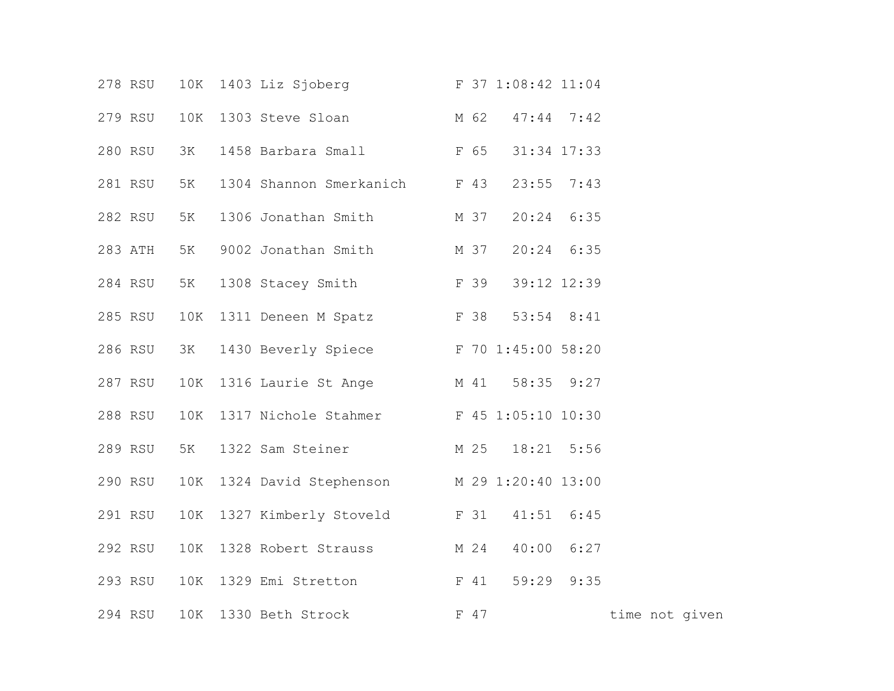|  |         |     | 278 RSU 10K 1403 Liz Sjoberg F 37 1:08:42 11:04 |      |                |                |  |  |
|--|---------|-----|-------------------------------------------------|------|----------------|----------------|--|--|
|  | 279 RSU |     | 10K 1303 Steve Sloan M 62 47:44 7:42            |      |                |                |  |  |
|  | 280 RSU | 3K  | 1458 Barbara Small F 65                         |      | 31:34 17:33    |                |  |  |
|  | 281 RSU | 5K  | 1304 Shannon Smerkanich F 43                    |      | $23:55$ 7:43   |                |  |  |
|  | 282 RSU | 5K  | 1306 Jonathan Smith M 37                        |      | $20:24$ 6:35   |                |  |  |
|  | 283 ATH | 5K  | 9002 Jonathan Smith M 37                        |      | $20:24$ 6:35   |                |  |  |
|  | 284 RSU | 5K  | 1308 Stacey Smith F 39                          |      | 39:12 12:39    |                |  |  |
|  | 285 RSU | 10K | 1311 Deneen M Spatz F 38 53:54 8:41             |      |                |                |  |  |
|  | 286 RSU | 3K  | 1430 Beverly Spiece F 70 1:45:00 58:20          |      |                |                |  |  |
|  | 287 RSU |     | 10K 1316 Laurie St Ange M 41 58:35 9:27         |      |                |                |  |  |
|  | 288 RSU |     | 10K 1317 Nichole Stahmer F 45 1:05:10 10:30     |      |                |                |  |  |
|  | 289 RSU | 5K  | 1322 Sam Steiner M 25 18:21 5:56                |      |                |                |  |  |
|  | 290 RSU |     | 10K 1324 David Stephenson M 29 1:20:40 13:00    |      |                |                |  |  |
|  | 291 RSU |     | 10K 1327 Kimberly Stoveld F 31 41:51 6:45       |      |                |                |  |  |
|  | 292 RSU |     | 10K 1328 Robert Strauss M 24                    |      | $40:00$ $6:27$ |                |  |  |
|  | 293 RSU |     | 10K 1329 Emi Stretton F 41                      |      | 59:29 9:35     |                |  |  |
|  | 294 RSU |     | 10K 1330 Beth Strock                            | F 47 |                | time not given |  |  |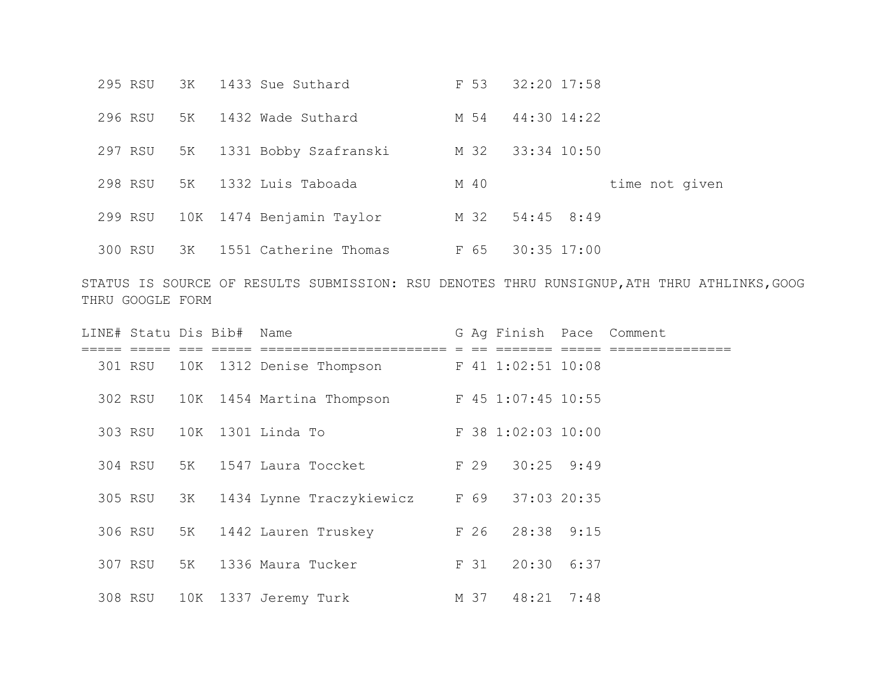| 295 RSU |    | 3K 1433 Sue Suthard      | F 53 | 32:20 17:58     |                |
|---------|----|--------------------------|------|-----------------|----------------|
| 296 RSU | 5K | 1432 Wade Suthard        | M 54 | 44:30 14:22     |                |
| 297 RSU | 5K | 1331 Bobby Szafranski    | M 32 | 33:34 10:50     |                |
| 298 RSU | 5K | 1332 Luis Taboada        | M 40 |                 | time not given |
| 299 RSU |    | 10K 1474 Benjamin Taylor |      | M 32 54:45 8:49 |                |
| 300 RSU | 3K | 1551 Catherine Thomas    | F 65 | $30:35$ 17:00   |                |

STATUS IS SOURCE OF RESULTS SUBMISSION: RSU DENOTES THRU RUNSIGNUP,ATH THRU ATHLINKS,GOOG THRU GOOGLE FORM

| LINE# Statu Dis Bib# Name |    |                                   |  | G Ag Finish Pace Comment |  |
|---------------------------|----|-----------------------------------|--|--------------------------|--|
|                           |    |                                   |  |                          |  |
|                           |    | 301 RSU 10K 1312 Denise Thompson  |  | F 41 1:02:51 10:08       |  |
|                           |    | 302 RSU 10K 1454 Martina Thompson |  | F 45 1:07:45 10:55       |  |
| 303 RSU                   |    | 10K 1301 Linda To                 |  | F 38 1:02:03 10:00       |  |
| 304 RSU 5K                |    | 1547 Laura Toccket                |  | F 29 30:25 9:49          |  |
| 305 RSU                   | ЗК | 1434 Lynne Traczykiewicz          |  | F 69 37:03 20:35         |  |
| 306 RSU 5K                |    | 1442 Lauren Truskey               |  | F 26 28:38 9:15          |  |
| 307 RSU                   | 5K | 1336 Maura Tucker                 |  | F 31 20:30 6:37          |  |
| 308 RSU                   |    | 10K 1337 Jeremy Turk              |  | M 37 48:21 7:48          |  |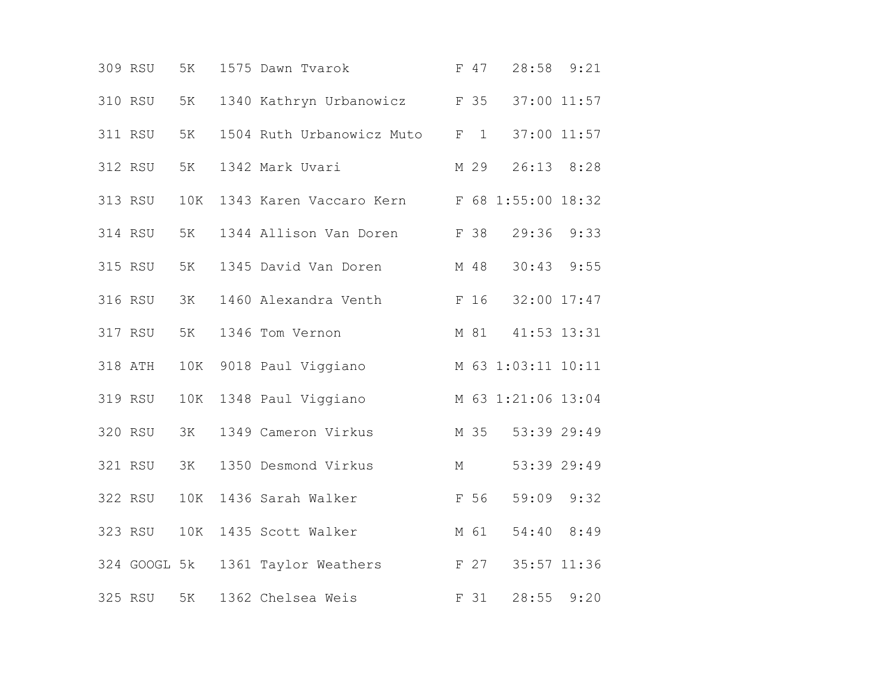|  | 309 RSU | 5K  | 1575 Dawn Tvarok                           |   | F 47    | 28:58 9:21         |      |  |
|--|---------|-----|--------------------------------------------|---|---------|--------------------|------|--|
|  | 310 RSU | 5K  | 1340 Kathryn Urbanowicz<br>F 35            |   |         | 37:00 11:57        |      |  |
|  | 311 RSU | 5K  | 1504 Ruth Urbanowicz Muto                  |   | $F \t1$ | 37:00 11:57        |      |  |
|  | 312 RSU | 5K  | 1342 Mark Uvari                            |   | M 29    | 26:13 8:28         |      |  |
|  | 313 RSU | 10K | 1343 Karen Vaccaro Kern F 68 1:55:00 18:32 |   |         |                    |      |  |
|  | 314 RSU | 5K  | 1344 Allison Van Doren                     |   | F 38    | 29:36              | 9:33 |  |
|  | 315 RSU | 5K  | 1345 David Van Doren                       |   | M 48    | 30:43              | 9:55 |  |
|  | 316 RSU | 3K  | 1460 Alexandra Venth                       |   |         | F 16 32:00 17:47   |      |  |
|  | 317 RSU | 5K  | 1346 Tom Vernon                            |   | M 81    | 41:53 13:31        |      |  |
|  | 318 ATH |     | 10K 9018 Paul Viggiano                     |   |         | M 63 1:03:11 10:11 |      |  |
|  | 319 RSU | 10K | 1348 Paul Viggiano                         |   |         | M 63 1:21:06 13:04 |      |  |
|  | 320 RSU | 3K  | 1349 Cameron Virkus                        |   |         | M 35 53:39 29:49   |      |  |
|  | 321 RSU | 3K  | 1350 Desmond Virkus                        | М |         | 53:39 29:49        |      |  |
|  | 322 RSU | 10K | 1436 Sarah Walker                          |   | F 56    | 59:09              | 9:32 |  |
|  | 323 RSU | 10K | 1435 Scott Walker                          |   | M 61    | 54:40 8:49         |      |  |
|  |         |     | 324 GOOGL 5k 1361 Taylor Weathers          |   |         | F 27 35:57 11:36   |      |  |
|  | 325 RSU | 5K  | 1362 Chelsea Weis                          |   | F 31    | 28:55              | 9:20 |  |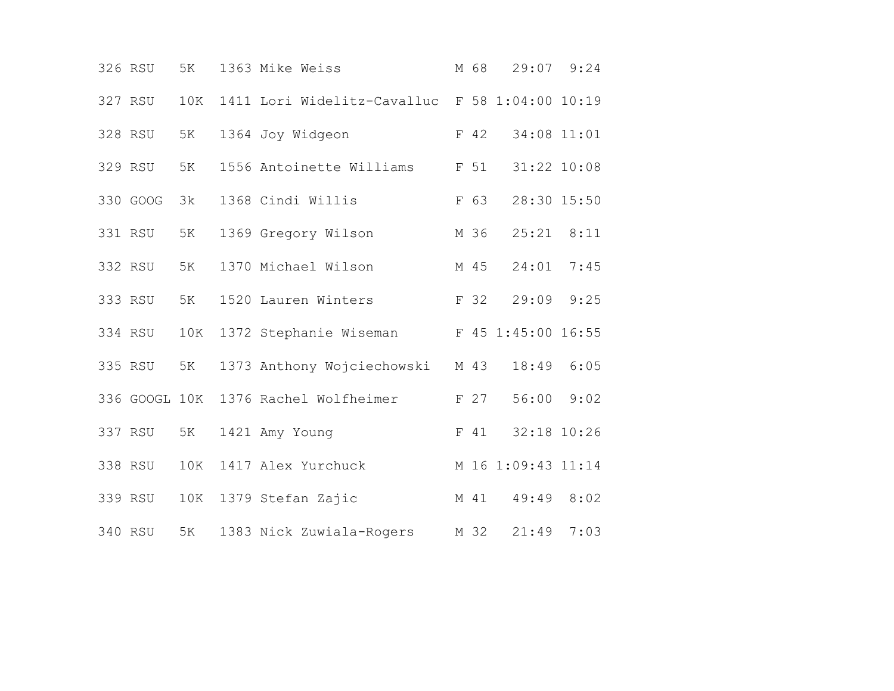|  | 326 RSU       | 5K  | 1363 Mike Weiss                                | M 68 |                    | 29:07 9:24 |  |
|--|---------------|-----|------------------------------------------------|------|--------------------|------------|--|
|  | 327 RSU       | 10K | 1411 Lori Widelitz-Cavalluc F 58 1:04:00 10:19 |      |                    |            |  |
|  | 328 RSU       | 5K  | 1364 Joy Widgeon                               | F 42 | 34:08 11:01        |            |  |
|  | 329 RSU       | 5K  | 1556 Antoinette Williams                       | F 51 | 31:22 10:08        |            |  |
|  | 330 GOOG      | 3k  | 1368 Cindi Willis                              | F 63 | 28:30 15:50        |            |  |
|  | 331 RSU       | 5K  | 1369 Gregory Wilson                            | M 36 | $25:21$ $8:11$     |            |  |
|  | 332 RSU       | 5K  | 1370 Michael Wilson                            | M 45 | 24:01              | 7:45       |  |
|  | 333 RSU       | 5K  | 1520 Lauren Winters                            | F 32 | 29:09 9:25         |            |  |
|  | 334 RSU       | 10K | 1372 Stephanie Wiseman                         |      | F 45 1:45:00 16:55 |            |  |
|  | 335 RSU       | 5K  | 1373 Anthony Wojciechowski M 43                |      | 18:49 6:05         |            |  |
|  | 336 GOOGL 10K |     | 1376 Rachel Wolfheimer                         | F 27 | 56:00 9:02         |            |  |
|  | 337 RSU       | 5K  | 1421 Amy Young                                 | F 41 | 32:18 10:26        |            |  |
|  | 338 RSU       | 10K | 1417 Alex Yurchuck                             |      | M 16 1:09:43 11:14 |            |  |
|  | 339 RSU       | 10K | 1379 Stefan Zajic                              | M 41 | 49:49              | 8:02       |  |
|  | 340 RSU       | 5K  | 1383 Nick Zuwiala-Rogers                       | M 32 | 21:49              | 7:03       |  |